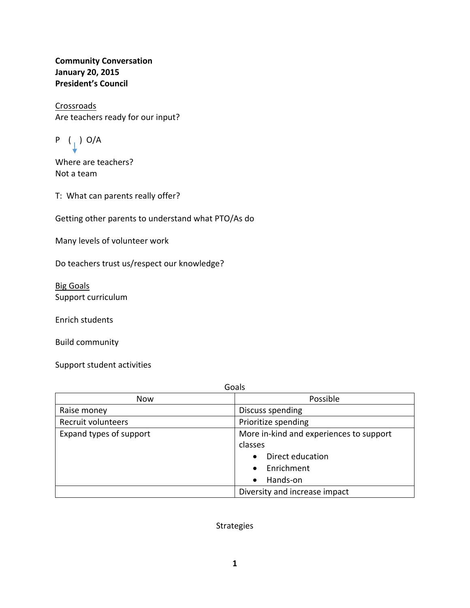**Community Conversation January 20, 2015 President's Council**

Crossroads Are teachers ready for our input?

$$
P \quad (\downarrow) \ \text{O/A}
$$

Where are teachers? Not a team

T: What can parents really offer?

Getting other parents to understand what PTO/As do

Many levels of volunteer work

Do teachers trust us/respect our knowledge?

Big Goals Support curriculum

Enrich students

Build community

Support student activities

| Goals                   |                                         |  |
|-------------------------|-----------------------------------------|--|
| <b>Now</b>              | Possible                                |  |
| Raise money             | Discuss spending                        |  |
| Recruit volunteers      | Prioritize spending                     |  |
| Expand types of support | More in-kind and experiences to support |  |
|                         | classes                                 |  |
|                         | Direct education<br>$\bullet$           |  |
|                         | Enrichment<br>$\bullet$                 |  |
|                         | Hands-on<br>$\bullet$                   |  |
|                         | Diversity and increase impact           |  |

Strategies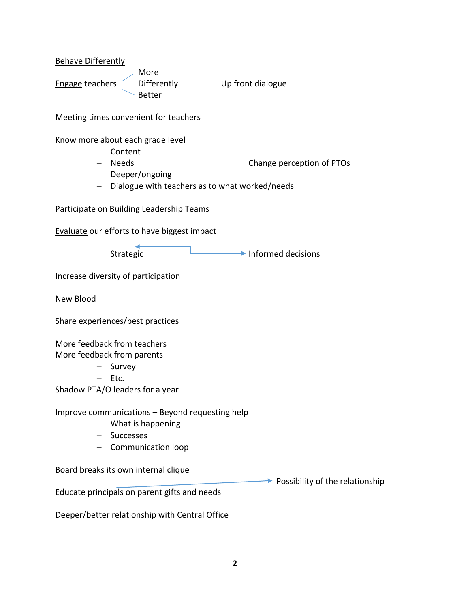Behave Differently

 More **Engage teachers**  $\sim$  **Differently**  $\sim$  **Up front dialogue** Better

Meeting times convenient for teachers

Know more about each grade level

- Content
- Needs **Change perception of PTOs** Deeper/ongoing
- Dialogue with teachers as to what worked/needs

Participate on Building Leadership Teams

Evaluate our efforts to have biggest impact

Strategic **Informed decisions** 

Increase diversity of participation

New Blood

Share experiences/best practices

More feedback from teachers

More feedback from parents

- Survey
- $-$  Etc.

Shadow PTA/O leaders for a year

Improve communications – Beyond requesting help

- What is happening
- Successes
- Communication loop

Board breaks its own internal clique

Educate principals on parent gifts and needs

Deeper/better relationship with Central Office

 $\rightarrow$  Possibility of the relationship